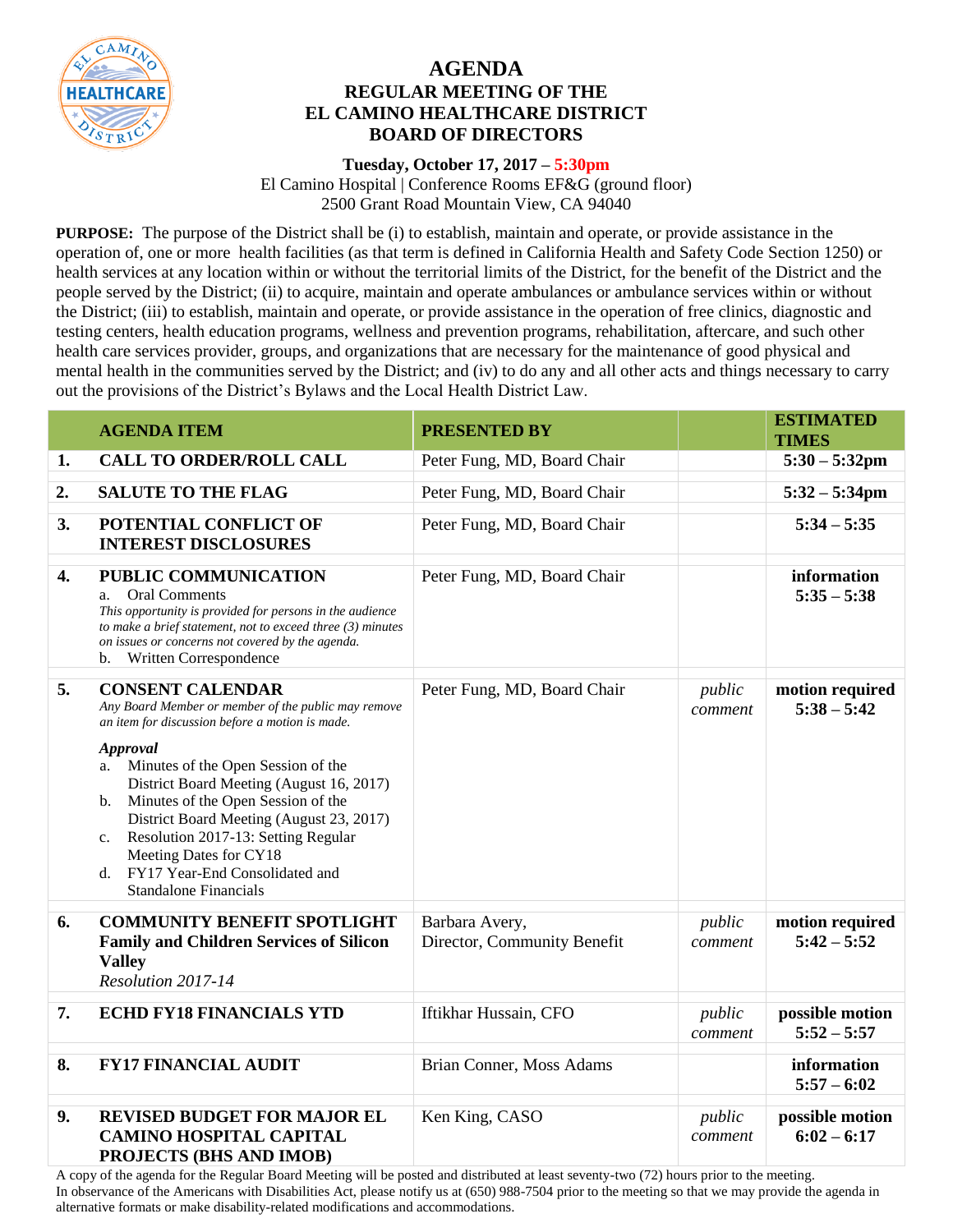

## **AGENDA REGULAR MEETING OF THE EL CAMINO HEALTHCARE DISTRICT BOARD OF DIRECTORS**

## **Tuesday, October 17, 2017 – 5:30pm**

El Camino Hospital | Conference Rooms EF&G (ground floor) 2500 Grant Road Mountain View, CA 94040

**PURPOSE:** The purpose of the District shall be (i) to establish, maintain and operate, or provide assistance in the operation of, one or more health facilities (as that term is defined in California Health and Safety Code Section 1250) or health services at any location within or without the territorial limits of the District, for the benefit of the District and the people served by the District; (ii) to acquire, maintain and operate ambulances or ambulance services within or without the District; (iii) to establish, maintain and operate, or provide assistance in the operation of free clinics, diagnostic and testing centers, health education programs, wellness and prevention programs, rehabilitation, aftercare, and such other health care services provider, groups, and organizations that are necessary for the maintenance of good physical and mental health in the communities served by the District; and (iv) to do any and all other acts and things necessary to carry out the provisions of the District's Bylaws and the Local Health District Law.

|    | <b>AGENDA ITEM</b>                                                                                                                                                                                                                                                                                                                                         | <b>PRESENTED BY</b>                           |                   | <b>ESTIMATED</b><br><b>TIMES</b> |
|----|------------------------------------------------------------------------------------------------------------------------------------------------------------------------------------------------------------------------------------------------------------------------------------------------------------------------------------------------------------|-----------------------------------------------|-------------------|----------------------------------|
| 1. | <b>CALL TO ORDER/ROLL CALL</b>                                                                                                                                                                                                                                                                                                                             | Peter Fung, MD, Board Chair                   |                   | $5:30 - 5:32$ pm                 |
| 2. | <b>SALUTE TO THE FLAG</b>                                                                                                                                                                                                                                                                                                                                  | Peter Fung, MD, Board Chair                   |                   | $5:32 - 5:34$ pm                 |
| 3. | POTENTIAL CONFLICT OF<br><b>INTEREST DISCLOSURES</b>                                                                                                                                                                                                                                                                                                       | Peter Fung, MD, Board Chair                   |                   | $5:34 - 5:35$                    |
| 4. | PUBLIC COMMUNICATION<br><b>Oral Comments</b><br>a.<br>This opportunity is provided for persons in the audience<br>to make a brief statement, not to exceed three $(3)$ minutes<br>on issues or concerns not covered by the agenda.<br>Written Correspondence<br>b.                                                                                         | Peter Fung, MD, Board Chair                   |                   | information<br>$5:35 - 5:38$     |
| 5. | <b>CONSENT CALENDAR</b><br>Any Board Member or member of the public may remove<br>an item for discussion before a motion is made.                                                                                                                                                                                                                          | Peter Fung, MD, Board Chair                   | public<br>comment | motion required<br>$5:38 - 5:42$ |
|    | <b>Approval</b><br>Minutes of the Open Session of the<br>a.<br>District Board Meeting (August 16, 2017)<br>Minutes of the Open Session of the<br>$\mathbf{b}$ .<br>District Board Meeting (August 23, 2017)<br>Resolution 2017-13: Setting Regular<br>c.<br>Meeting Dates for CY18<br>FY17 Year-End Consolidated and<br>d.<br><b>Standalone Financials</b> |                                               |                   |                                  |
| 6. | <b>COMMUNITY BENEFIT SPOTLIGHT</b><br><b>Family and Children Services of Silicon</b><br><b>Valley</b><br>Resolution 2017-14                                                                                                                                                                                                                                | Barbara Avery,<br>Director, Community Benefit | public<br>comment | motion required<br>$5:42 - 5:52$ |
| 7. | <b>ECHD FY18 FINANCIALS YTD</b>                                                                                                                                                                                                                                                                                                                            | Iftikhar Hussain, CFO                         | public<br>comment | possible motion<br>$5:52 - 5:57$ |
| 8. | <b>FY17 FINANCIAL AUDIT</b>                                                                                                                                                                                                                                                                                                                                | Brian Conner, Moss Adams                      |                   | information<br>$5:57 - 6:02$     |
| 9. | <b>REVISED BUDGET FOR MAJOR EL</b><br><b>CAMINO HOSPITAL CAPITAL</b><br>PROJECTS (BHS AND IMOB)                                                                                                                                                                                                                                                            | Ken King, CASO                                | public<br>comment | possible motion<br>$6:02 - 6:17$ |

A copy of the agenda for the Regular Board Meeting will be posted and distributed at least seventy-two (72) hours prior to the meeting. In observance of the Americans with Disabilities Act, please notify us at (650) 988-7504 prior to the meeting so that we may provide the agenda in alternative formats or make disability-related modifications and accommodations.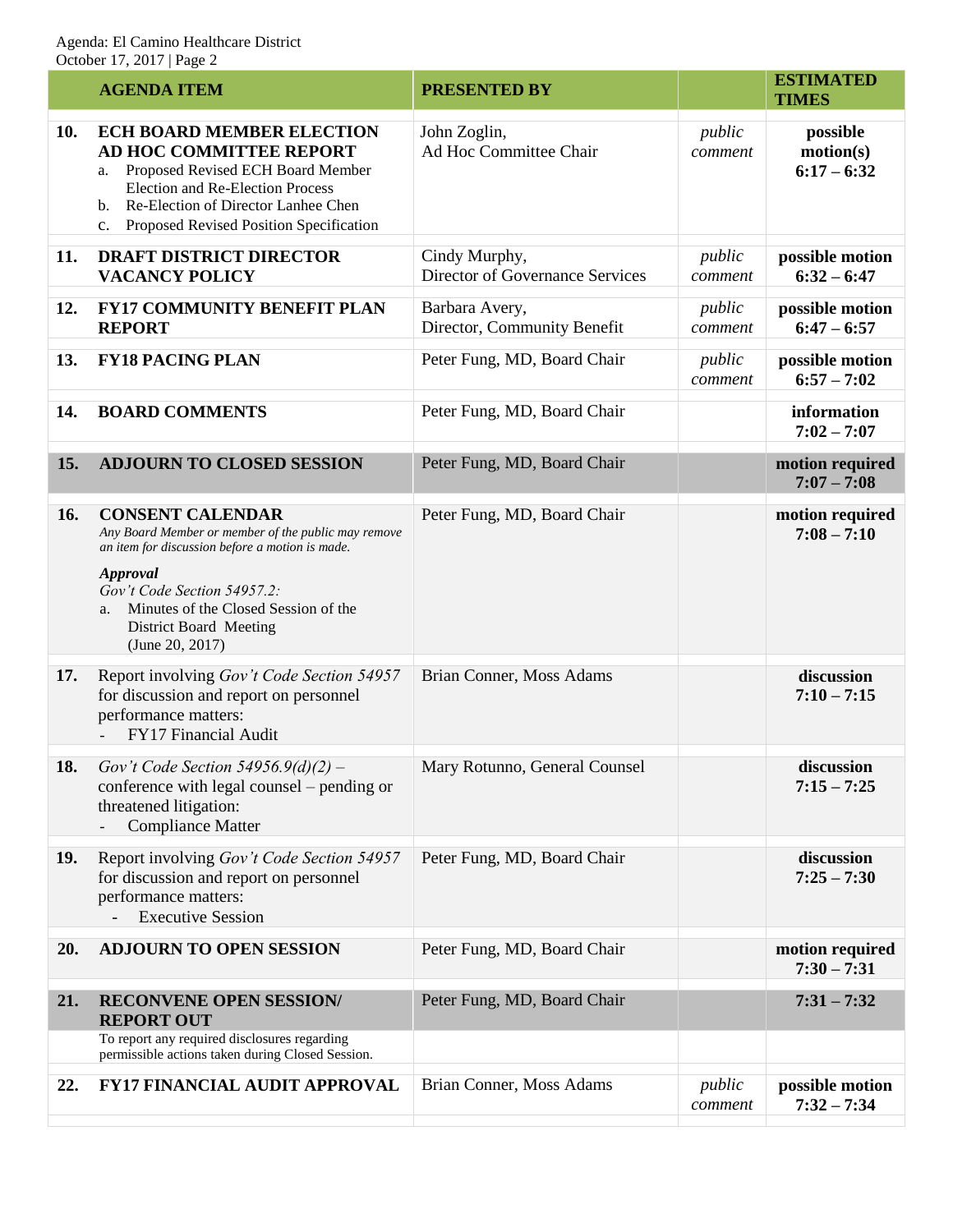| <b>AGENDA ITEM</b>                                                                                                                                                                                                                                                             | <b>PRESENTED BY</b>                                                                             |                   | <b>ESTIMATED</b><br><b>TIMES</b>       |
|--------------------------------------------------------------------------------------------------------------------------------------------------------------------------------------------------------------------------------------------------------------------------------|-------------------------------------------------------------------------------------------------|-------------------|----------------------------------------|
| <b>ECH BOARD MEMBER ELECTION</b><br><b>AD HOC COMMITTEE REPORT</b><br>Proposed Revised ECH Board Member<br>a.<br>Election and Re-Election Process<br>Re-Election of Director Lanhee Chen<br>b.<br>Proposed Revised Position Specification<br>$c_{\cdot}$                       | John Zoglin,<br>Ad Hoc Committee Chair                                                          | public<br>comment | possible<br>motion(s)<br>$6:17 - 6:32$ |
| <b>DRAFT DISTRICT DIRECTOR</b><br><b>VACANCY POLICY</b>                                                                                                                                                                                                                        | Cindy Murphy,<br>Director of Governance Services                                                | public<br>comment | possible motion<br>$6:32 - 6:47$       |
| <b>FY17 COMMUNITY BENEFIT PLAN</b><br><b>REPORT</b>                                                                                                                                                                                                                            | Barbara Avery,<br>Director, Community Benefit                                                   | public<br>comment | possible motion<br>$6:47 - 6:57$       |
| <b>FY18 PACING PLAN</b>                                                                                                                                                                                                                                                        | Peter Fung, MD, Board Chair                                                                     | public<br>comment | possible motion<br>$6:57 - 7:02$       |
| <b>BOARD COMMENTS</b>                                                                                                                                                                                                                                                          | Peter Fung, MD, Board Chair                                                                     |                   | information<br>$7:02 - 7:07$           |
| <b>ADJOURN TO CLOSED SESSION</b>                                                                                                                                                                                                                                               | Peter Fung, MD, Board Chair                                                                     |                   | motion required<br>$7:07 - 7:08$       |
| <b>CONSENT CALENDAR</b><br>Any Board Member or member of the public may remove<br>an item for discussion before a motion is made.<br><b>Approval</b><br>Gov't Code Section 54957.2:<br>Minutes of the Closed Session of the<br>a.<br>District Board Meeting<br>(June 20, 2017) | Peter Fung, MD, Board Chair                                                                     |                   | motion required<br>$7:08 - 7:10$       |
| Report involving Gov't Code Section 54957<br>for discussion and report on personnel<br>performance matters:<br>FY17 Financial Audit                                                                                                                                            | Brian Conner, Moss Adams                                                                        |                   | discussion<br>$7:10 - 7:15$            |
| conference with legal counsel – pending or<br>threatened litigation:<br><b>Compliance Matter</b>                                                                                                                                                                               | Mary Rotunno, General Counsel                                                                   |                   | discussion<br>$7:15 - 7:25$            |
| Report involving Gov't Code Section 54957<br>for discussion and report on personnel<br>performance matters:<br><b>Executive Session</b>                                                                                                                                        | Peter Fung, MD, Board Chair                                                                     |                   | discussion<br>$7:25 - 7:30$            |
| <b>ADJOURN TO OPEN SESSION</b>                                                                                                                                                                                                                                                 | Peter Fung, MD, Board Chair                                                                     |                   | motion required<br>$7:30 - 7:31$       |
| <b>RECONVENE OPEN SESSION/</b><br><b>REPORT OUT</b>                                                                                                                                                                                                                            | Peter Fung, MD, Board Chair                                                                     |                   | $7:31 - 7:32$                          |
| permissible actions taken during Closed Session.                                                                                                                                                                                                                               |                                                                                                 |                   |                                        |
| <b>FY17 FINANCIAL AUDIT APPROVAL</b>                                                                                                                                                                                                                                           | Brian Conner, Moss Adams                                                                        | public<br>comment | possible motion<br>$7:32 - 7:34$       |
|                                                                                                                                                                                                                                                                                | <b>18.</b> Gov't Code Section $54956.9(d)(2)$ –<br>To report any required disclosures regarding |                   |                                        |